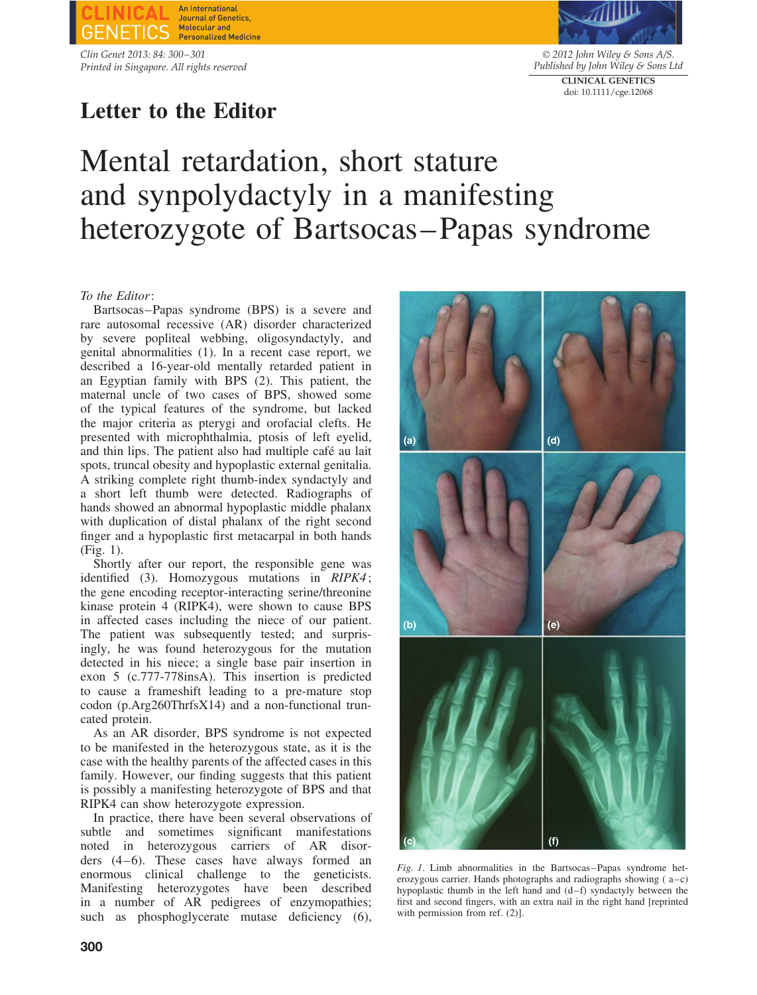**An International** Journal of Genetics **Molecular and Personalized Medicine** 

*Clin Genet 2013: 84: 300–301 Printed in Singapore. All rights reserved*

# **Letter to the Editor**



© *2012 John Wiley & Sons A/S. Published by John Wiley & Sons Ltd* **CLINICAL GENETICS** doi: 10.1111/cge.12068

# Mental retardation, short stature and synpolydactyly in a manifesting heterozygote of Bartsocas–Papas syndrome

## *To the Editor*:

Bartsocas–Papas syndrome (BPS) is a severe and rare autosomal recessive (AR) disorder characterized by severe popliteal webbing, oligosyndactyly, and genital abnormalities (1). In a recent case report, we described a 16-year-old mentally retarded patient in an Egyptian family with BPS (2). This patient, the maternal uncle of two cases of BPS, showed some of the typical features of the syndrome, but lacked the major criteria as pterygi and orofacial clefts. He presented with microphthalmia, ptosis of left eyelid, and thin lips. The patient also had multiple café au lait spots, truncal obesity and hypoplastic external genitalia. A striking complete right thumb-index syndactyly and a short left thumb were detected. Radiographs of hands showed an abnormal hypoplastic middle phalanx with duplication of distal phalanx of the right second finger and a hypoplastic first metacarpal in both hands (Fig. 1).

Shortly after our report, the responsible gene was identified (3). Homozygous mutations in *RIPK4* ; the gene encoding receptor-interacting serine/threonine kinase protein 4 (RIPK4), were shown to cause BPS in affected cases including the niece of our patient. The patient was subsequently tested; and surprisingly, he was found heterozygous for the mutation detected in his niece; a single base pair insertion in exon 5 (c.777-778insA). This insertion is predicted to cause a frameshift leading to a pre-mature stop codon (p.Arg260ThrfsX14) and a non-functional truncated protein.

As an AR disorder, BPS syndrome is not expected to be manifested in the heterozygous state, as it is the case with the healthy parents of the affected cases in this family. However, our finding suggests that this patient is possibly a manifesting heterozygote of BPS and that RIPK4 can show heterozygote expression.

In practice, there have been several observations of subtle and sometimes significant manifestations noted in heterozygous carriers of AR disorders (4–6). These cases have always formed an enormous clinical challenge to the geneticists. Manifesting heterozygotes have been described in a number of AR pedigrees of enzymopathies; such as phosphoglycerate mutase deficiency (6),



*Fig. 1*. Limb abnormalities in the Bartsocas–Papas syndrome heterozygous carrier. Hands photographs and radiographs showing ( a–c) hypoplastic thumb in the left hand and (d–f) syndactyly between the first and second fingers, with an extra nail in the right hand [reprinted with permission from ref. (2)].